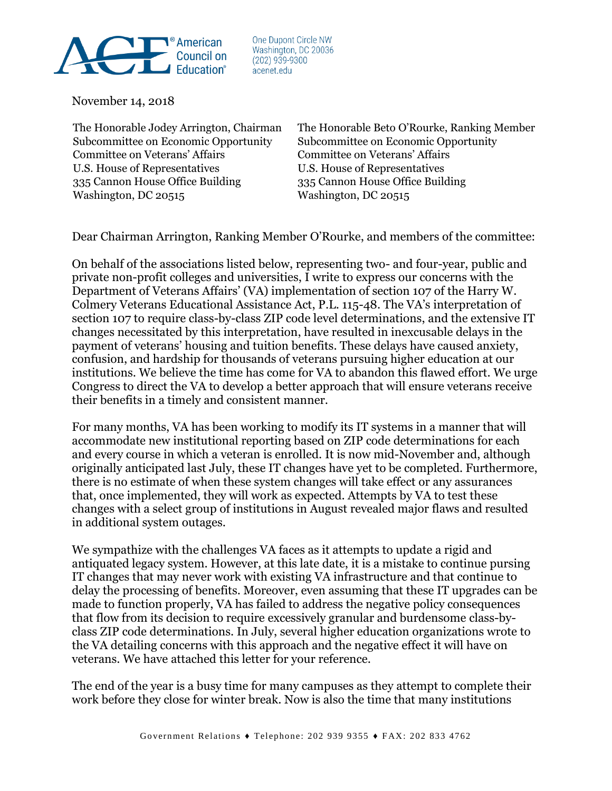

One Dupont Circle NW Washington, DC 20036  $(202)$  939-9300 acenet.edu

November 14, 2018

Subcommittee on Economic Opportunity Subcommittee on Economic Opportunity Committee on Veterans' Affairs Committee on Veterans' Affairs U.S. House of Representatives U.S. House of Representatives 335 Cannon House Office Building 335 Cannon House Office Building Washington, DC 20515

The Honorable Jodey Arrington, Chairman The Honorable Beto O'Rourke, Ranking Member

Dear Chairman Arrington, Ranking Member O'Rourke, and members of the committee:

On behalf of the associations listed below, representing two- and four-year, public and private non-profit colleges and universities, I write to express our concerns with the Department of Veterans Affairs' (VA) implementation of section 107 of the Harry W. Colmery Veterans Educational Assistance Act, P.L. 115-48. The VA's interpretation of section 107 to require class-by-class ZIP code level determinations, and the extensive IT changes necessitated by this interpretation, have resulted in inexcusable delays in the payment of veterans' housing and tuition benefits. These delays have caused anxiety, confusion, and hardship for thousands of veterans pursuing higher education at our institutions. We believe the time has come for VA to abandon this flawed effort. We urge Congress to direct the VA to develop a better approach that will ensure veterans receive their benefits in a timely and consistent manner.

For many months, VA has been working to modify its IT systems in a manner that will accommodate new institutional reporting based on ZIP code determinations for each and every course in which a veteran is enrolled. It is now mid-November and, although originally anticipated last July, these IT changes have yet to be completed. Furthermore, there is no estimate of when these system changes will take effect or any assurances that, once implemented, they will work as expected. Attempts by VA to test these changes with a select group of institutions in August revealed major flaws and resulted in additional system outages.

We sympathize with the challenges VA faces as it attempts to update a rigid and antiquated legacy system. However, at this late date, it is a mistake to continue pursing IT changes that may never work with existing VA infrastructure and that continue to delay the processing of benefits. Moreover, even assuming that these IT upgrades can be made to function properly, VA has failed to address the negative policy consequences that flow from its decision to require excessively granular and burdensome class-byclass ZIP code determinations. In July, several higher education organizations wrote to the VA detailing concerns with this approach and the negative effect it will have on veterans. We have attached this letter for your reference.

The end of the year is a busy time for many campuses as they attempt to complete their work before they close for winter break. Now is also the time that many institutions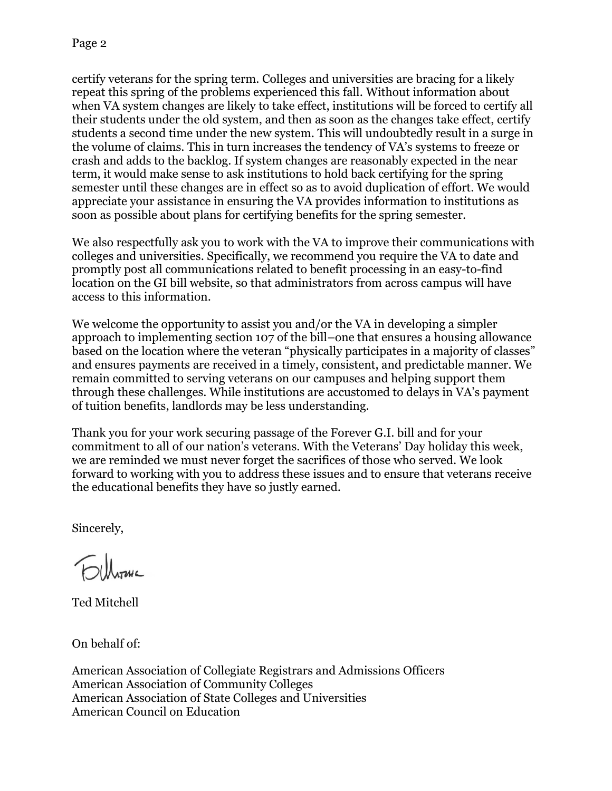certify veterans for the spring term. Colleges and universities are bracing for a likely repeat this spring of the problems experienced this fall. Without information about when VA system changes are likely to take effect, institutions will be forced to certify all their students under the old system, and then as soon as the changes take effect, certify students a second time under the new system. This will undoubtedly result in a surge in the volume of claims. This in turn increases the tendency of VA's systems to freeze or crash and adds to the backlog. If system changes are reasonably expected in the near term, it would make sense to ask institutions to hold back certifying for the spring semester until these changes are in effect so as to avoid duplication of effort. We would appreciate your assistance in ensuring the VA provides information to institutions as soon as possible about plans for certifying benefits for the spring semester.

We also respectfully ask you to work with the VA to improve their communications with colleges and universities. Specifically, we recommend you require the VA to date and promptly post all communications related to benefit processing in an easy-to-find location on the GI bill website, so that administrators from across campus will have access to this information.

We welcome the opportunity to assist you and/or the VA in developing a simpler approach to implementing section 107 of the bill–one that ensures a housing allowance based on the location where the veteran "physically participates in a majority of classes" and ensures payments are received in a timely, consistent, and predictable manner. We remain committed to serving veterans on our campuses and helping support them through these challenges. While institutions are accustomed to delays in VA's payment of tuition benefits, landlords may be less understanding.

Thank you for your work securing passage of the Forever G.I. bill and for your commitment to all of our nation's veterans. With the Veterans' Day holiday this week, we are reminded we must never forget the sacrifices of those who served. We look forward to working with you to address these issues and to ensure that veterans receive the educational benefits they have so justly earned.

Sincerely,

Ted Mitchell

On behalf of:

American Association of Collegiate Registrars and Admissions Officers American Association of Community Colleges American Association of State Colleges and Universities American Council on Education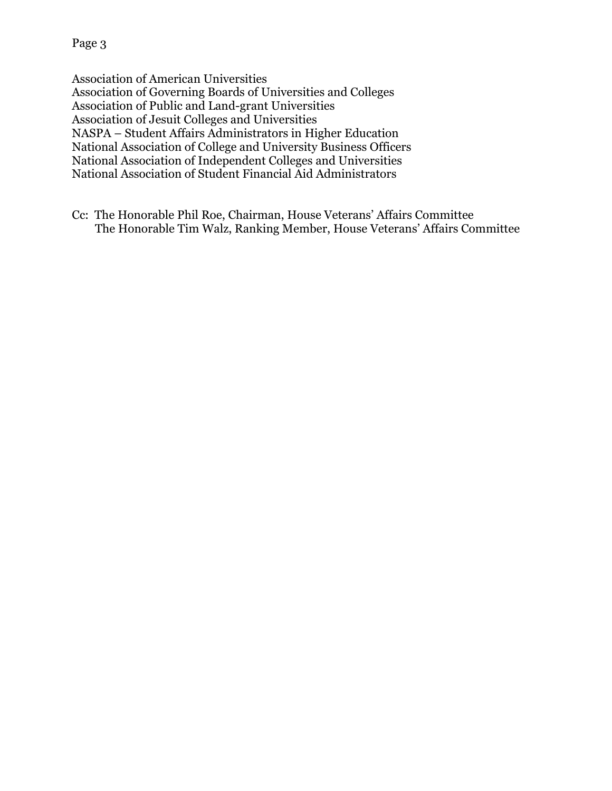Association of American Universities Association of Governing Boards of Universities and Colleges Association of Public and Land-grant Universities Association of Jesuit Colleges and Universities NASPA – Student Affairs Administrators in Higher Education National Association of College and University Business Officers National Association of Independent Colleges and Universities National Association of Student Financial Aid Administrators

Cc: The Honorable Phil Roe, Chairman, House Veterans' Affairs Committee The Honorable Tim Walz, Ranking Member, House Veterans' Affairs Committee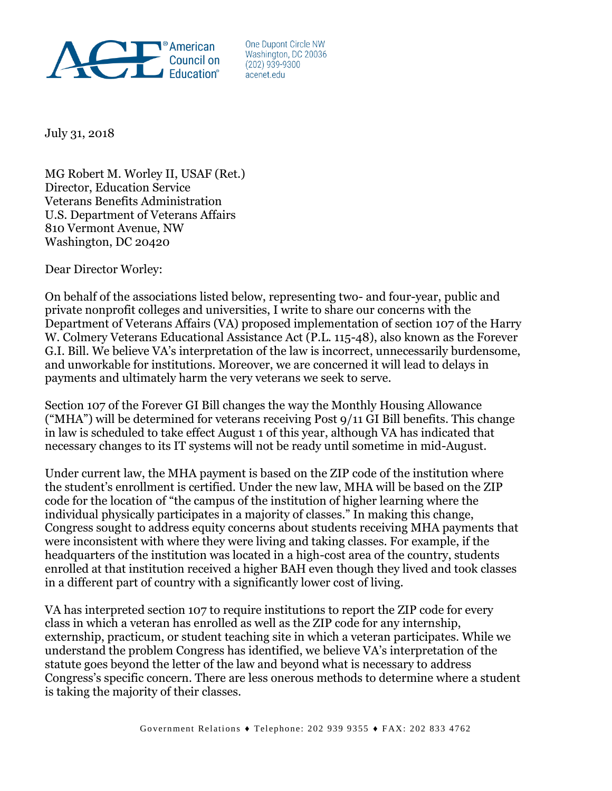

One Dupont Circle NW Washington, DC 20036  $(202)$  939-9300 acenet edu

July 31, 2018

MG Robert M. Worley II, USAF (Ret.) Director, Education Service Veterans Benefits Administration U.S. Department of Veterans Affairs 810 Vermont Avenue, NW Washington, DC 20420

Dear Director Worley:

On behalf of the associations listed below, representing two- and four-year, public and private nonprofit colleges and universities, I write to share our concerns with the Department of Veterans Affairs (VA) proposed implementation of section 107 of the Harry W. Colmery Veterans Educational Assistance Act (P.L. 115-48), also known as the Forever G.I. Bill. We believe VA's interpretation of the law is incorrect, unnecessarily burdensome, and unworkable for institutions. Moreover, we are concerned it will lead to delays in payments and ultimately harm the very veterans we seek to serve.

Section 107 of the Forever GI Bill changes the way the Monthly Housing Allowance ("MHA") will be determined for veterans receiving Post 9/11 GI Bill benefits. This change in law is scheduled to take effect August 1 of this year, although VA has indicated that necessary changes to its IT systems will not be ready until sometime in mid-August.

Under current law, the MHA payment is based on the ZIP code of the institution where the student's enrollment is certified. Under the new law, MHA will be based on the ZIP code for the location of "the campus of the institution of higher learning where the individual physically participates in a majority of classes." In making this change, Congress sought to address equity concerns about students receiving MHA payments that were inconsistent with where they were living and taking classes. For example, if the headquarters of the institution was located in a high-cost area of the country, students enrolled at that institution received a higher BAH even though they lived and took classes in a different part of country with a significantly lower cost of living.

VA has interpreted section 107 to require institutions to report the ZIP code for every class in which a veteran has enrolled as well as the ZIP code for any internship, externship, practicum, or student teaching site in which a veteran participates. While we understand the problem Congress has identified, we believe VA's interpretation of the statute goes beyond the letter of the law and beyond what is necessary to address Congress's specific concern. There are less onerous methods to determine where a student is taking the majority of their classes.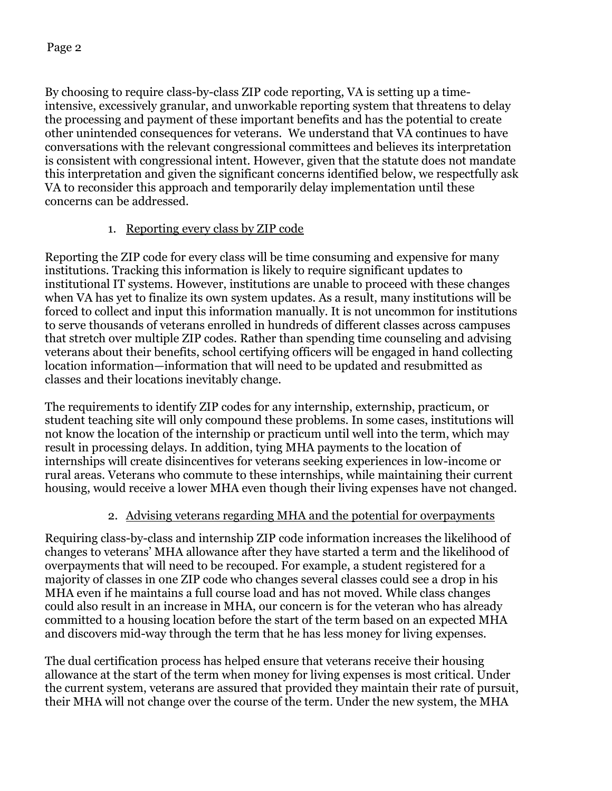By choosing to require class-by-class ZIP code reporting, VA is setting up a timeintensive, excessively granular, and unworkable reporting system that threatens to delay the processing and payment of these important benefits and has the potential to create other unintended consequences for veterans. We understand that VA continues to have conversations with the relevant congressional committees and believes its interpretation is consistent with congressional intent. However, given that the statute does not mandate this interpretation and given the significant concerns identified below, we respectfully ask VA to reconsider this approach and temporarily delay implementation until these concerns can be addressed.

# 1. Reporting every class by ZIP code

Reporting the ZIP code for every class will be time consuming and expensive for many institutions. Tracking this information is likely to require significant updates to institutional IT systems. However, institutions are unable to proceed with these changes when VA has yet to finalize its own system updates. As a result, many institutions will be forced to collect and input this information manually. It is not uncommon for institutions to serve thousands of veterans enrolled in hundreds of different classes across campuses that stretch over multiple ZIP codes. Rather than spending time counseling and advising veterans about their benefits, school certifying officers will be engaged in hand collecting location information—information that will need to be updated and resubmitted as classes and their locations inevitably change.

The requirements to identify ZIP codes for any internship, externship, practicum, or student teaching site will only compound these problems. In some cases, institutions will not know the location of the internship or practicum until well into the term, which may result in processing delays. In addition, tying MHA payments to the location of internships will create disincentives for veterans seeking experiences in low-income or rural areas. Veterans who commute to these internships, while maintaining their current housing, would receive a lower MHA even though their living expenses have not changed.

# 2. Advising veterans regarding MHA and the potential for overpayments

Requiring class-by-class and internship ZIP code information increases the likelihood of changes to veterans' MHA allowance after they have started a term and the likelihood of overpayments that will need to be recouped. For example, a student registered for a majority of classes in one ZIP code who changes several classes could see a drop in his MHA even if he maintains a full course load and has not moved. While class changes could also result in an increase in MHA, our concern is for the veteran who has already committed to a housing location before the start of the term based on an expected MHA and discovers mid-way through the term that he has less money for living expenses.

The dual certification process has helped ensure that veterans receive their housing allowance at the start of the term when money for living expenses is most critical. Under the current system, veterans are assured that provided they maintain their rate of pursuit, their MHA will not change over the course of the term. Under the new system, the MHA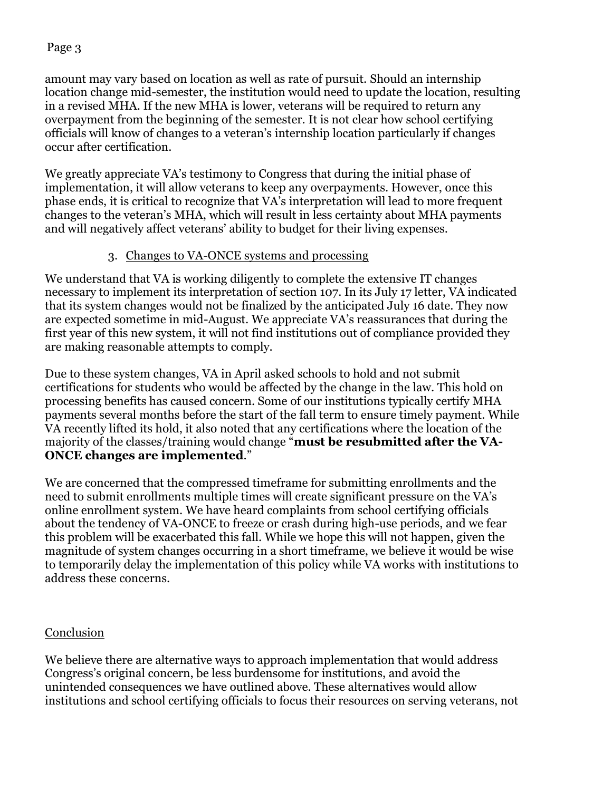### Page 3

amount may vary based on location as well as rate of pursuit. Should an internship location change mid-semester, the institution would need to update the location, resulting in a revised MHA. If the new MHA is lower, veterans will be required to return any overpayment from the beginning of the semester. It is not clear how school certifying officials will know of changes to a veteran's internship location particularly if changes occur after certification.

We greatly appreciate VA's testimony to Congress that during the initial phase of implementation, it will allow veterans to keep any overpayments. However, once this phase ends, it is critical to recognize that VA's interpretation will lead to more frequent changes to the veteran's MHA, which will result in less certainty about MHA payments and will negatively affect veterans' ability to budget for their living expenses.

## 3. Changes to VA-ONCE systems and processing

We understand that VA is working diligently to complete the extensive IT changes necessary to implement its interpretation of section 107. In its July 17 letter, VA indicated that its system changes would not be finalized by the anticipated July 16 date. They now are expected sometime in mid-August. We appreciate VA's reassurances that during the first year of this new system, it will not find institutions out of compliance provided they are making reasonable attempts to comply.

Due to these system changes, VA in April asked schools to hold and not submit certifications for students who would be affected by the change in the law. This hold on processing benefits has caused concern. Some of our institutions typically certify MHA payments several months before the start of the fall term to ensure timely payment. While VA recently lifted its hold, it also noted that any certifications where the location of the majority of the classes/training would change "**must be resubmitted after the VA-ONCE changes are implemented**."

We are concerned that the compressed timeframe for submitting enrollments and the need to submit enrollments multiple times will create significant pressure on the VA's online enrollment system. We have heard complaints from school certifying officials about the tendency of VA-ONCE to freeze or crash during high-use periods, and we fear this problem will be exacerbated this fall. While we hope this will not happen, given the magnitude of system changes occurring in a short timeframe, we believe it would be wise to temporarily delay the implementation of this policy while VA works with institutions to address these concerns.

## Conclusion

We believe there are alternative ways to approach implementation that would address Congress's original concern, be less burdensome for institutions, and avoid the unintended consequences we have outlined above. These alternatives would allow institutions and school certifying officials to focus their resources on serving veterans, not